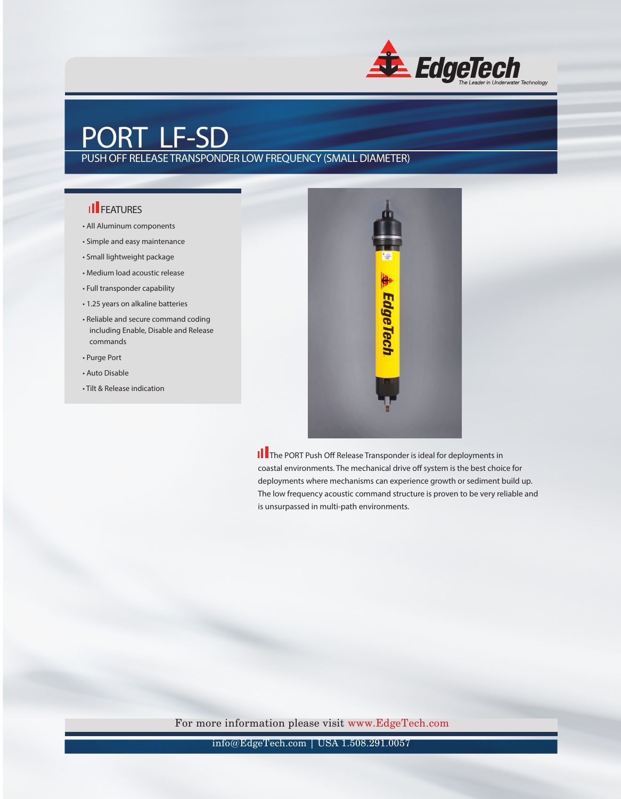

## PORT LF-SD

PUSH OFF RELEASE TRANSPONDER LOW FREQUENCY (SMALL DIAMETER)

## **Il FEATURES**

- All Aluminum components
- Simple and easy maintenance
- Small lightweight package
- Medium load acoustic release
- Full transponder capability
- 1.25 years on alkaline batteries
- Reliable and secure command coding including Enable, Disable and Release commands
- Purge Port
- Auto Disable
- Tilt & Release indication



 The PORT Push Off Release Transponder is ideal for deployments in coastal environments. The mechanical drive off system is the best choice for deployments where mechanisms can experience growth or sediment build up. The low frequency acoustic command structure is proven to be very reliable and is unsurpassed in multi-path environments.

For more information please visit www.EdgeTech.com

info@EdgeTech.com | USA 1.508.291.0057